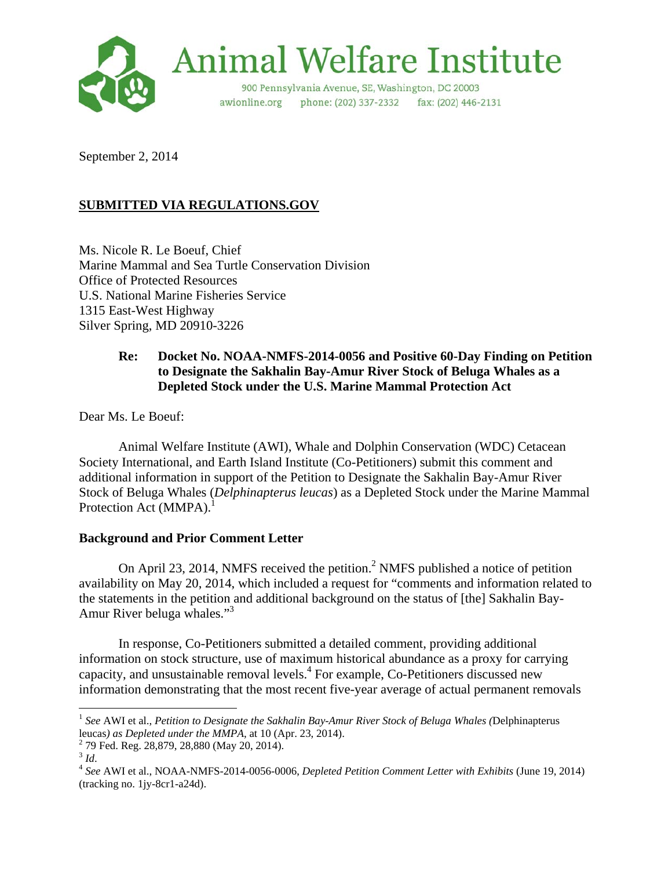

September 2, 2014

# **SUBMITTED VIA REGULATIONS.GOV**

Ms. Nicole R. Le Boeuf, Chief Marine Mammal and Sea Turtle Conservation Division Office of Protected Resources U.S. National Marine Fisheries Service 1315 East-West Highway Silver Spring, MD 20910-3226

## **Re: Docket No. NOAA-NMFS-2014-0056 and Positive 60-Day Finding on Petition to Designate the Sakhalin Bay-Amur River Stock of Beluga Whales as a Depleted Stock under the U.S. Marine Mammal Protection Act**

Dear Ms. Le Boeuf:

 Animal Welfare Institute (AWI), Whale and Dolphin Conservation (WDC) Cetacean Society International, and Earth Island Institute (Co-Petitioners) submit this comment and additional information in support of the Petition to Designate the Sakhalin Bay-Amur River Stock of Beluga Whales (*Delphinapterus leucas*) as a Depleted Stock under the Marine Mammal Protection Act (MMPA).<sup>1</sup>

## **Background and Prior Comment Letter**

On April 23, 2014, NMFS received the petition.<sup>2</sup> NMFS published a notice of petition availability on May 20, 2014, which included a request for "comments and information related to the statements in the petition and additional background on the status of [the] Sakhalin Bay-Amur River beluga whales."<sup>3</sup>

 In response, Co-Petitioners submitted a detailed comment, providing additional information on stock structure, use of maximum historical abundance as a proxy for carrying capacity, and unsustainable removal levels.<sup>4</sup> For example, Co-Petitioners discussed new information demonstrating that the most recent five-year average of actual permanent removals

<sup>1</sup> *See* AWI et al., *Petition to Designate the Sakhalin Bay-Amur River Stock of Beluga Whales (*Delphinapterus leucas*) as Depleted under the MMPA*, at 10 (Apr. 23, 2014). 2

 $^{2}$  79 Fed. Reg. 28,879, 28,880 (May 20, 2014).<br> $^{3}$  Id.

<sup>&</sup>lt;sup>4</sup> See AWI et al., NOAA-NMFS-2014-0056-0006, *Depleted Petition Comment Letter with Exhibits* (June 19, 2014) (tracking no. 1jy-8cr1-a24d).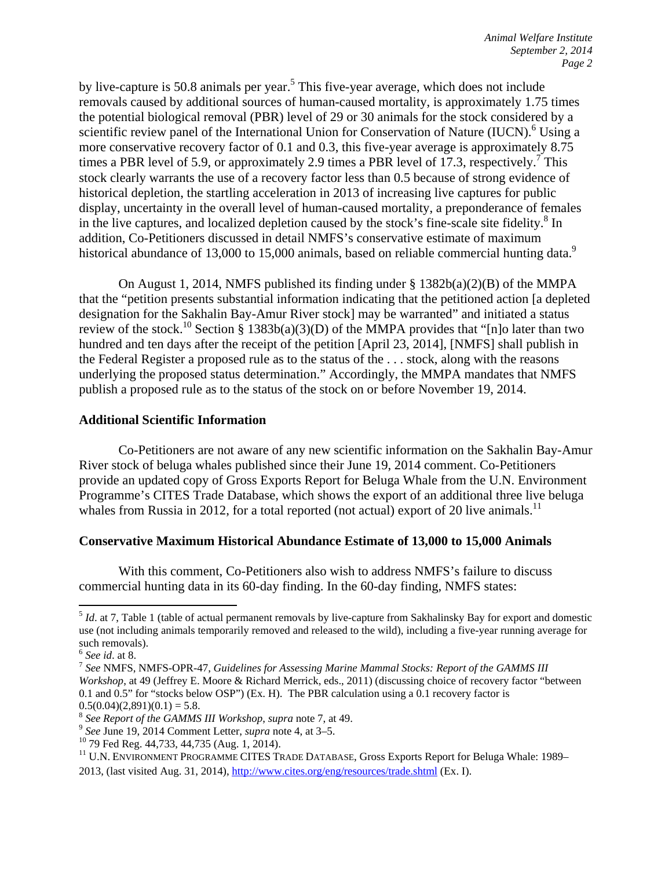by live-capture is 50.8 animals per year.<sup>5</sup> This five-year average, which does not include removals caused by additional sources of human-caused mortality, is approximately 1.75 times the potential biological removal (PBR) level of 29 or 30 animals for the stock considered by a scientific review panel of the International Union for Conservation of Nature (IUCN).<sup>6</sup> Using a more conservative recovery factor of 0.1 and 0.3, this five-year average is approximately 8.75 times a PBR level of 5.9, or approximately 2.9 times a PBR level of 17.3, respectively.<sup>7</sup> This stock clearly warrants the use of a recovery factor less than 0.5 because of strong evidence of historical depletion, the startling acceleration in 2013 of increasing live captures for public display, uncertainty in the overall level of human-caused mortality, a preponderance of females in the live captures, and localized depletion caused by the stock's fine-scale site fidelity. $8 \text{ In }$ addition, Co-Petitioners discussed in detail NMFS's conservative estimate of maximum historical abundance of 13,000 to 15,000 animals, based on reliable commercial hunting data.<sup>9</sup>

On August 1, 2014, NMFS published its finding under  $\S$  1382b(a)(2)(B) of the MMPA that the "petition presents substantial information indicating that the petitioned action [a depleted designation for the Sakhalin Bay-Amur River stock] may be warranted" and initiated a status review of the stock.<sup>10</sup> Section § 1383b(a)(3)(D) of the MMPA provides that "[n]o later than two hundred and ten days after the receipt of the petition [April 23, 2014], [NMFS] shall publish in the Federal Register a proposed rule as to the status of the . . . stock, along with the reasons underlying the proposed status determination." Accordingly, the MMPA mandates that NMFS publish a proposed rule as to the status of the stock on or before November 19, 2014.

#### **Additional Scientific Information**

 Co-Petitioners are not aware of any new scientific information on the Sakhalin Bay-Amur River stock of beluga whales published since their June 19, 2014 comment. Co-Petitioners provide an updated copy of Gross Exports Report for Beluga Whale from the U.N. Environment Programme's CITES Trade Database, which shows the export of an additional three live beluga whales from Russia in 2012, for a total reported (not actual) export of 20 live animals.<sup>11</sup>

#### **Conservative Maximum Historical Abundance Estimate of 13,000 to 15,000 Animals**

 With this comment, Co-Petitioners also wish to address NMFS's failure to discuss commercial hunting data in its 60-day finding. In the 60-day finding, NMFS states:

<sup>&</sup>lt;sup>5</sup> *Id.* at 7. Table 1 (table of actual permanent removals by live-capture from Sakhalinsky Bay for export and domestic use (not including animals temporarily removed and released to the wild), including a five-year running average for such removals).<br> $<sup>6</sup>$  See id. at 8.</sup>

<sup>&</sup>lt;sup>7</sup> See NMFS, NMFS-OPR-47, *Guidelines for Assessing Marine Mammal Stocks: Report of the GAMMS III Workshop*, at 49 (Jeffrey E. Moore & Richard Merrick, eds., 2011) (discussing choice of recovery factor "between 0.1 and 0.5" for "stocks below OSP") (Ex. H). The PBR calculation using a 0.1 recovery factor is

 $0.5(0.04)(2,891)(0.1) = 5.8.$ <br><sup>8</sup> See Report of the GAMMS III Workshop, supra note 7, at 49.

<sup>&</sup>lt;sup>9</sup> See June 19, 2014 Comment Letter, *supra* note 4, at 3–5. <sup>10</sup> 79 Fed Reg. 44,733, 44,735 (Aug. 1, 2014).

<sup>&</sup>lt;sup>11</sup> U.N. ENVIRONMENT PROGRAMME CITES TRADE DATABASE, Gross Exports Report for Beluga Whale: 1989–

<sup>2013,</sup> (last visited Aug. 31, 2014), http://www.cites.org/eng/resources/trade.shtml (Ex. I).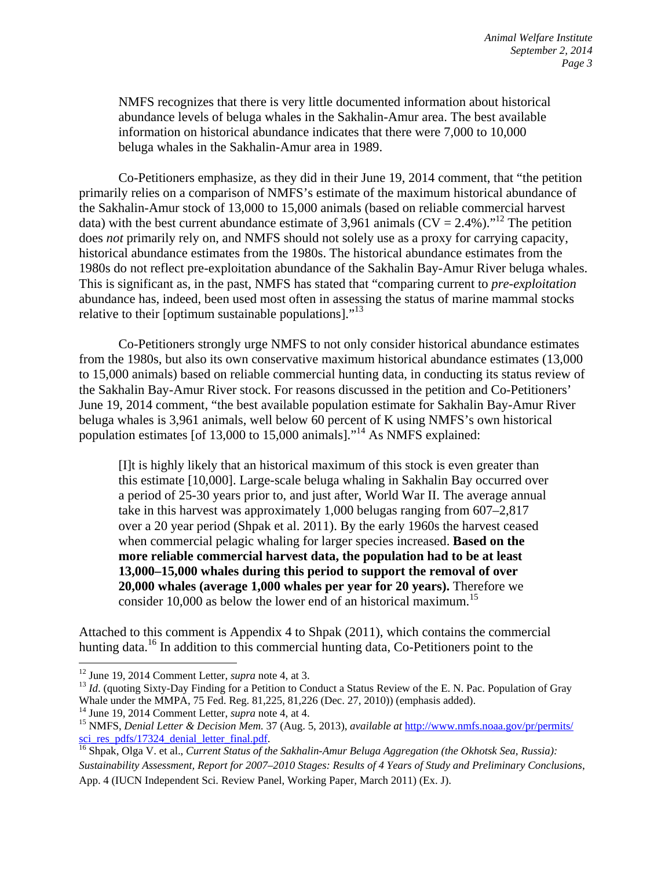NMFS recognizes that there is very little documented information about historical abundance levels of beluga whales in the Sakhalin-Amur area. The best available information on historical abundance indicates that there were 7,000 to 10,000 beluga whales in the Sakhalin-Amur area in 1989.

 Co-Petitioners emphasize, as they did in their June 19, 2014 comment, that "the petition primarily relies on a comparison of NMFS's estimate of the maximum historical abundance of the Sakhalin-Amur stock of 13,000 to 15,000 animals (based on reliable commercial harvest data) with the best current abundance estimate of 3,961 animals ( $CV = 2.4\%$ )."<sup>12</sup> The petition does *not* primarily rely on, and NMFS should not solely use as a proxy for carrying capacity, historical abundance estimates from the 1980s. The historical abundance estimates from the 1980s do not reflect pre-exploitation abundance of the Sakhalin Bay-Amur River beluga whales. This is significant as, in the past, NMFS has stated that "comparing current to *pre-exploitation* abundance has, indeed, been used most often in assessing the status of marine mammal stocks relative to their [optimum sustainable populations]."<sup>13</sup>

 Co-Petitioners strongly urge NMFS to not only consider historical abundance estimates from the 1980s, but also its own conservative maximum historical abundance estimates (13,000 to 15,000 animals) based on reliable commercial hunting data, in conducting its status review of the Sakhalin Bay-Amur River stock. For reasons discussed in the petition and Co-Petitioners' June 19, 2014 comment, "the best available population estimate for Sakhalin Bay-Amur River beluga whales is 3,961 animals, well below 60 percent of K using NMFS's own historical population estimates [of 13,000 to 15,000 animals]."14 As NMFS explained:

[I]t is highly likely that an historical maximum of this stock is even greater than this estimate [10,000]. Large-scale beluga whaling in Sakhalin Bay occurred over a period of 25-30 years prior to, and just after, World War II. The average annual take in this harvest was approximately 1,000 belugas ranging from 607–2,817 over a 20 year period (Shpak et al. 2011). By the early 1960s the harvest ceased when commercial pelagic whaling for larger species increased. **Based on the more reliable commercial harvest data, the population had to be at least 13,000–15,000 whales during this period to support the removal of over 20,000 whales (average 1,000 whales per year for 20 years).** Therefore we consider 10,000 as below the lower end of an historical maximum.<sup>15</sup>

Attached to this comment is Appendix 4 to Shpak (2011), which contains the commercial hunting data.<sup>16</sup> In addition to this commercial hunting data, Co-Petitioners point to the

 $12$  June 19, 2014 Comment Letter, *supra* note 4, at 3.

<sup>&</sup>lt;sup>13</sup> *Id.* (quoting Sixty-Day Finding for a Petition to Conduct a Status Review of the E. N. Pac. Population of Gray Whale under the MMPA, 75 Fed. Reg. 81,225, 81,226 (Dec. 27, 2010)) (emphasis added).<br><sup>14</sup> June 19, 2014 Comment Letter, *supra* note 4, at 4.

<sup>&</sup>lt;sup>15</sup> NMFS, *Denial Letter & Decision Mem.* 37 (Aug. 5, 2013), *available at http://www.nmfs.noaa.gov/pr/permits/* sci\_res\_pdfs/17324\_denial\_letter\_final.pdf. 16 Shpak, Olga V. et al., *Current Status of the Sakhalin-Amur Beluga Aggregation (the Okhotsk Sea, Russia):* <sup>16</sup> Shpak, Olga V. et al., *Current Status of the Sakhalin-Amur Bel* 

*Sustainability Assessment, Report for 2007–2010 Stages: Results of 4 Years of Study and Preliminary Conclusions*, App. 4 (IUCN Independent Sci. Review Panel, Working Paper, March 2011) (Ex. J).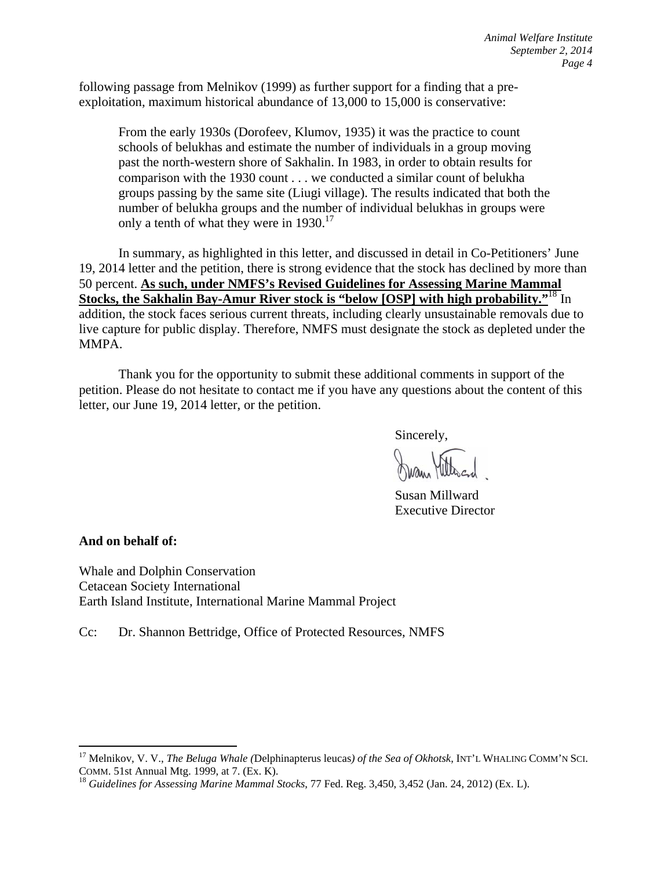following passage from Melnikov (1999) as further support for a finding that a preexploitation, maximum historical abundance of 13,000 to 15,000 is conservative:

From the early 1930s (Dorofeev, Klumov, 1935) it was the practice to count schools of belukhas and estimate the number of individuals in a group moving past the north-western shore of Sakhalin. In 1983, in order to obtain results for comparison with the 1930 count . . . we conducted a similar count of belukha groups passing by the same site (Liugi village). The results indicated that both the number of belukha groups and the number of individual belukhas in groups were only a tenth of what they were in  $1930$ .<sup>17</sup>

In summary, as highlighted in this letter, and discussed in detail in Co-Petitioners' June 19, 2014 letter and the petition, there is strong evidence that the stock has declined by more than 50 percent. **As such, under NMFS's Revised Guidelines for Assessing Marine Mammal Stocks, the Sakhalin Bay-Amur River stock is "below [OSP] with high probability."**18 In addition, the stock faces serious current threats, including clearly unsustainable removals due to live capture for public display. Therefore, NMFS must designate the stock as depleted under the MMPA.

Thank you for the opportunity to submit these additional comments in support of the petition. Please do not hesitate to contact me if you have any questions about the content of this letter, our June 19, 2014 letter, or the petition.

Sincerely,

 Susan Millward Executive Director

**And on behalf of:** 

Whale and Dolphin Conservation Cetacean Society International Earth Island Institute, International Marine Mammal Project

Cc: Dr. Shannon Bettridge, Office of Protected Resources, NMFS

<sup>17</sup> Melnikov, V. V., *The Beluga Whale (*Delphinapterus leucas*) of the Sea of Okhotsk*, INT'L WHALING COMM'N SCI. COMM. 51st Annual Mtg. 1999, at 7. (Ex. K).<br><sup>18</sup> *Guidelines for Assessing Marine Mammal Stocks*, 77 Fed. Reg. 3,450, 3,452 (Jan. 24, 2012) (Ex. L).